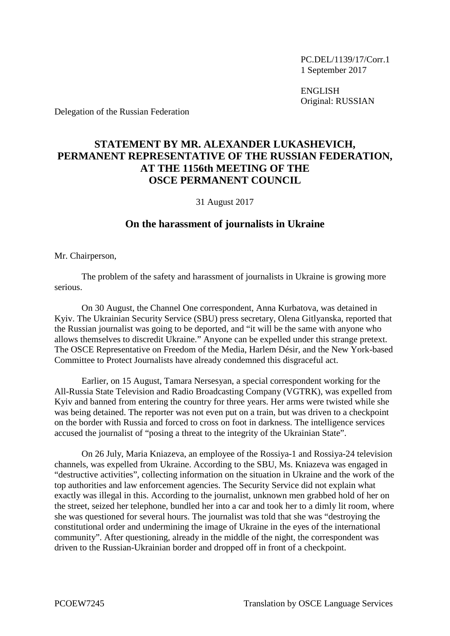PC.DEL/1139/17/Corr.1 1 September 2017

ENGLISH Original: RUSSIAN

Delegation of the Russian Federation

## **STATEMENT BY MR. ALEXANDER LUKASHEVICH, PERMANENT REPRESENTATIVE OF THE RUSSIAN FEDERATION, AT THE 1156th MEETING OF THE OSCE PERMANENT COUNCIL**

31 August 2017

## **On the harassment of journalists in Ukraine**

Mr. Chairperson,

The problem of the safety and harassment of journalists in Ukraine is growing more serious.

On 30 August, the Channel One correspondent, Anna Kurbatova, was detained in Kyiv. The Ukrainian Security Service (SBU) press secretary, Olena Gitlyanska, reported that the Russian journalist was going to be deported, and "it will be the same with anyone who allows themselves to discredit Ukraine." Anyone can be expelled under this strange pretext. The OSCE Representative on Freedom of the Media, Harlem Désir, and the New York-based Committee to Protect Journalists have already condemned this disgraceful act.

Earlier, on 15 August, Tamara Nersesyan, a special correspondent working for the All-Russia State Television and Radio Broadcasting Company (VGTRK), was expelled from Kyiv and banned from entering the country for three years. Her arms were twisted while she was being detained. The reporter was not even put on a train, but was driven to a checkpoint on the border with Russia and forced to cross on foot in darkness. The intelligence services accused the journalist of "posing a threat to the integrity of the Ukrainian State".

On 26 July, Maria Kniazeva, an employee of the Rossiya-1 and Rossiya-24 television channels, was expelled from Ukraine. According to the SBU, Ms. Kniazeva was engaged in "destructive activities", collecting information on the situation in Ukraine and the work of the top authorities and law enforcement agencies. The Security Service did not explain what exactly was illegal in this. According to the journalist, unknown men grabbed hold of her on the street, seized her telephone, bundled her into a car and took her to a dimly lit room, where she was questioned for several hours. The journalist was told that she was "destroying the constitutional order and undermining the image of Ukraine in the eyes of the international community". After questioning, already in the middle of the night, the correspondent was driven to the Russian-Ukrainian border and dropped off in front of a checkpoint.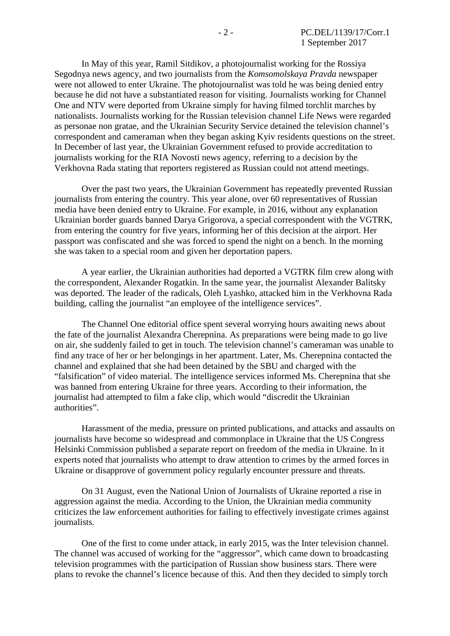In May of this year, Ramil Sitdikov, a photojournalist working for the Rossiya Segodnya news agency, and two journalists from the *Komsomolskaya Pravda* newspaper were not allowed to enter Ukraine. The photojournalist was told he was being denied entry because he did not have a substantiated reason for visiting. Journalists working for Channel One and NTV were deported from Ukraine simply for having filmed torchlit marches by nationalists. Journalists working for the Russian television channel Life News were regarded as personae non gratae, and the Ukrainian Security Service detained the television channel's correspondent and cameraman when they began asking Kyiv residents questions on the street. In December of last year, the Ukrainian Government refused to provide accreditation to journalists working for the RIA Novosti news agency, referring to a decision by the Verkhovna Rada stating that reporters registered as Russian could not attend meetings.

Over the past two years, the Ukrainian Government has repeatedly prevented Russian journalists from entering the country. This year alone, over 60 representatives of Russian media have been denied entry to Ukraine. For example, in 2016, without any explanation Ukrainian border guards banned Darya Grigorova, a special correspondent with the VGTRK, from entering the country for five years, informing her of this decision at the airport. Her passport was confiscated and she was forced to spend the night on a bench. In the morning she was taken to a special room and given her deportation papers.

A year earlier, the Ukrainian authorities had deported a VGTRK film crew along with the correspondent, Alexander Rogatkin. In the same year, the journalist Alexander Balitsky was deported. The leader of the radicals, Oleh Lyashko, attacked him in the Verkhovna Rada building, calling the journalist "an employee of the intelligence services".

The Channel One editorial office spent several worrying hours awaiting news about the fate of the journalist Alexandra Cherepnina. As preparations were being made to go live on air, she suddenly failed to get in touch. The television channel's cameraman was unable to find any trace of her or her belongings in her apartment. Later, Ms. Cherepnina contacted the channel and explained that she had been detained by the SBU and charged with the "falsification" of video material. The intelligence services informed Ms. Cherepnina that she was banned from entering Ukraine for three years. According to their information, the journalist had attempted to film a fake clip, which would "discredit the Ukrainian authorities".

Harassment of the media, pressure on printed publications, and attacks and assaults on journalists have become so widespread and commonplace in Ukraine that the US Congress Helsinki Commission published a separate report on freedom of the media in Ukraine. In it experts noted that journalists who attempt to draw attention to crimes by the armed forces in Ukraine or disapprove of government policy regularly encounter pressure and threats.

On 31 August, even the National Union of Journalists of Ukraine reported a rise in aggression against the media. According to the Union, the Ukrainian media community criticizes the law enforcement authorities for failing to effectively investigate crimes against journalists.

One of the first to come under attack, in early 2015, was the Inter television channel. The channel was accused of working for the "aggressor", which came down to broadcasting television programmes with the participation of Russian show business stars. There were plans to revoke the channel's licence because of this. And then they decided to simply torch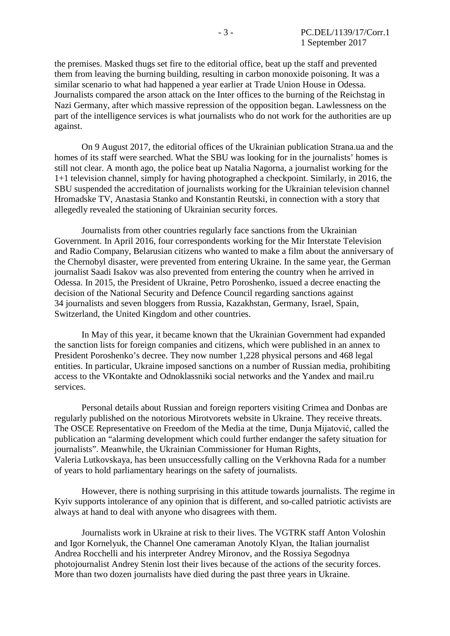the premises. Masked thugs set fire to the editorial office, beat up the staff and prevented them from leaving the burning building, resulting in carbon monoxide poisoning. It was a similar scenario to what had happened a year earlier at Trade Union House in Odessa. Journalists compared the arson attack on the Inter offices to the burning of the Reichstag in Nazi Germany, after which massive repression of the opposition began. Lawlessness on the part of the intelligence services is what journalists who do not work for the authorities are up against.

On 9 August 2017, the editorial offices of the Ukrainian publication Strana.ua and the homes of its staff were searched. What the SBU was looking for in the journalists' homes is still not clear. A month ago, the police beat up Natalia Nagorna, a journalist working for the 1+1 television channel, simply for having photographed a checkpoint. Similarly, in 2016, the SBU suspended the accreditation of journalists working for the Ukrainian television channel Hromadske TV, Anastasia Stanko and Konstantin Reutski, in connection with a story that allegedly revealed the stationing of Ukrainian security forces.

Journalists from other countries regularly face sanctions from the Ukrainian Government. In April 2016, four correspondents working for the Mir Interstate Television and Radio Company, Belarusian citizens who wanted to make a film about the anniversary of the Chernobyl disaster, were prevented from entering Ukraine. In the same year, the German journalist Saadi Isakov was also prevented from entering the country when he arrived in Odessa. In 2015, the President of Ukraine, Petro Poroshenko, issued a decree enacting the decision of the National Security and Defence Council regarding sanctions against 34 journalists and seven bloggers from Russia, Kazakhstan, Germany, Israel, Spain, Switzerland, the United Kingdom and other countries.

In May of this year, it became known that the Ukrainian Government had expanded the sanction lists for foreign companies and citizens, which were published in an annex to President Poroshenko's decree. They now number 1,228 physical persons and 468 legal entities. In particular, Ukraine imposed sanctions on a number of Russian media, prohibiting access to the VKontakte and Odnoklassniki social networks and the Yandex and mail.ru services.

Personal details about Russian and foreign reporters visiting Crimea and Donbas are regularly published on the notorious Mirotvorets website in Ukraine. They receive threats. The OSCE Representative on Freedom of the Media at the time, Dunja Mijatović, called the publication an "alarming development which could further endanger the safety situation for journalists". Meanwhile, the Ukrainian Commissioner for Human Rights, Valeria Lutkovskaya, has been unsuccessfully calling on the Verkhovna Rada for a number of years to hold parliamentary hearings on the safety of journalists.

However, there is nothing surprising in this attitude towards journalists. The regime in Kyiv supports intolerance of any opinion that is different, and so-called patriotic activists are always at hand to deal with anyone who disagrees with them.

Journalists work in Ukraine at risk to their lives. The VGTRK staff Anton Voloshin and Igor Kornelyuk, the Channel One cameraman Anotoly Klyan, the Italian journalist Andrea Rocchelli and his interpreter Andrey Mironov, and the Rossiya Segodnya photojournalist Andrey Stenin lost their lives because of the actions of the security forces. More than two dozen journalists have died during the past three years in Ukraine.